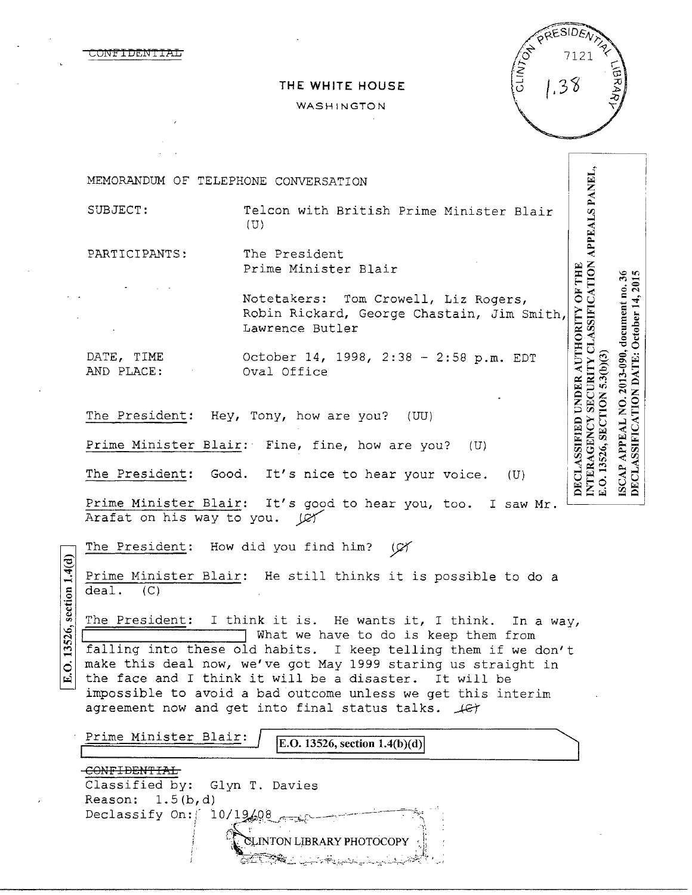ONF'I DENT'I AL

|                          | PRESIDENTS |     |
|--------------------------|------------|-----|
| $\overline{\mathscr{L}}$ | 7121       |     |
| <b>CANNY</b>             | 38         | BRA |
|                          |            |     |

## **THE WHITE HOUSE**

#### WASHINGTON

INTERAGENCY SECURITY CLASSIFICATION APPEALS PANEL, MEMORANDUM OF TELEPHONE CONVERSATION SUBJECT: Telcon with British Prime Minister Blair (U) PARTICIPANTS: The President DECLASSIFIED UNDER AUTHORITY OF THE Prime Minister Blair ISCAP APPEAL NO. 2013-090, document no. 36 DECLASSIFICATION DATE: October 14, 2015 Notetakers: Tom Crowell, Liz Rogers, Robin Rickard, George Chastain, Jim Smit h, Lawrence Butler DATE, TIME October 14, 1998, 2:38 - 2:58 p.m. EDT E.O. 13526, SECTION 5.3(b)(3) AND PLACE: Oval Office The President: Hey, Tony, how are you? (UU) Prime Minister Blair: Fine, fine, how are you? (U) The President: Good. It's nice to hear your voice. (U) Prime Minister Blair: It's good to hear you, too. I saw Mr. Arafat on his way to you.  $\mathbb{C}$ The President: How did you find him?  $\varnothing$ Prime Minister Blair: He still thinks it is possible to do a deal. (C) § :≡ .. <j The President: I think it is. He wants it, I think. In a way,  $\frac{26}{5}$  s  $\frac{8}{2}$  . What we have to do is keep them from falling into these old habits. I keep telling them if we don't make this deal now, we've got May 1999 staring us straight in  $\dot{\mathbf{Q}}$ the face and I think it will be a disaster. It will be impossible to avoid a bad outcome unless we get this interim agreement now and get into final status talks.  $\sqrt{c}$ Prime Minister Blair: **lE.O. 13526, section 1.4(b )(d) l** 

| Classified by: Glyn T. Davies    |  |
|----------------------------------|--|
| Reason: $1.5(b,d)$               |  |
| Declassify On: $10/19/08$        |  |
| <b>ELINTON LIBRARY PHOTOCOPY</b> |  |
| 두르 자속도 나는 생활을 보내고 보내셨다.          |  |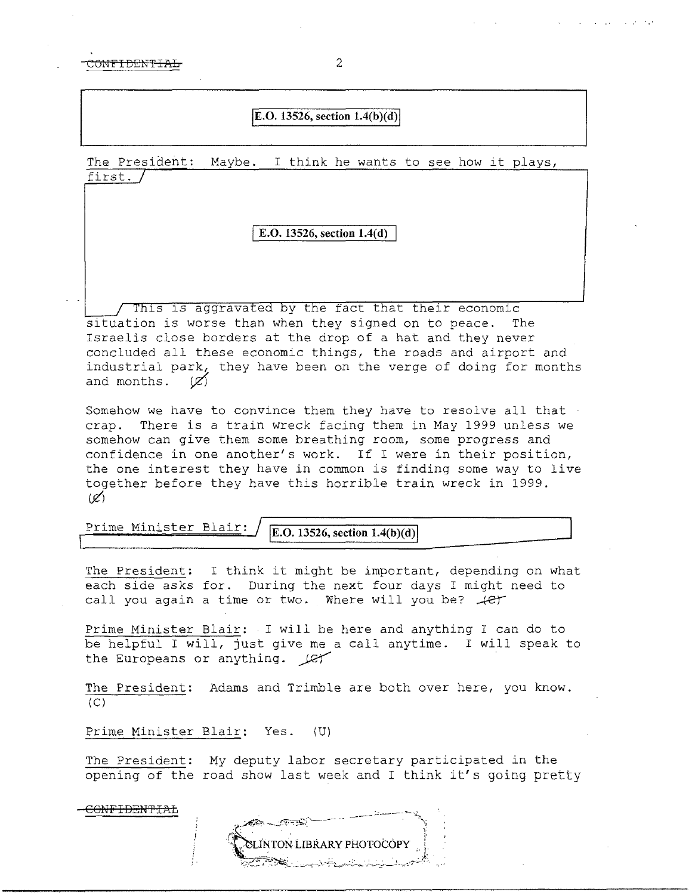CONFIDENTIAL 2

## $|E.O. 13526$ , section  $1.4(b)(d)|$

The President: Maybe. I think he wants to see how it plays, first.  $\sqrt{ }$ 

### I **E.O. 13526, section 1.4(d)**

This is aggravated by the fact that their economic situation is worse than when they signed on to peace. The Israelis close borders at the drop of a hat and they never concluded all these economic things, the roads and airport and industrial park, they have been on the verge of doing for months and months.  $(\mathscr{L})$ 

Somehow we have to convince them they have to resolve all that  $\cdot$ crap. There is a train wreck facing them in May 1999 unless we somehow can give them some breathing room, some progress and confidence in one another's work. If I were in their position, the one interest they have in common is finding some way to live together before they have this horrible train wreck in 1999.  $(z')$ 

Prime Minister Blair: *E.O. 13526, section 1.4(b)(d)* 

The President: I think it might be important, depending on what each side asks for. During the next four days I might need to call you again a time or two. Where will you be?  $\mathcal{L}$ 

Prime Minister Blair: I will be here and anything I can do to be helpful I will, just give me a call anytime. I will speak to the Europeans or anything.  $LT$ 

The President: Adams and Trimble are both over here, you know.  $(C)$ 

Prime Minister Blair: Yes. (U)

CONFIDEN'FIAL

The President: My deputy labor secretary participated in the opening of the road show last week and I think it's going pretty

**TON LIBRARY PHOTOCOPY**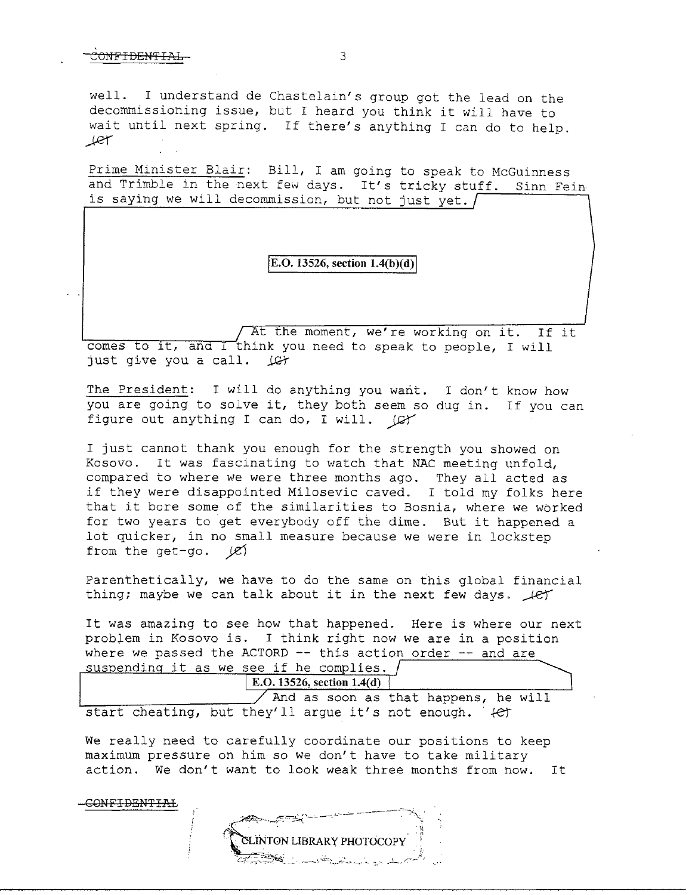CONFIDENTIAL

well. I understand de Chastelain's group got the lead on the decommissioning issue, but I heard you think it will have to wait until next spring. If there's anything I can do to help. *.ffe1""* 

Prime Minister Blair: Bill, I am going to speak to McGuinness and Trimble in the next few days. It's tricky stuff. Sinn Fein is saying we will decommission, but not just yet.  $\int$ 

E.O. 13526, section 1.4(b)(d)

At the moment, we're working on it. If it comes to it, and I think you need to speak to people, I will just give you a call.  $\mathcal{L}$ 

The President: I will do anything you want. I don't know how you are going to solve it, they both seem so dug in. If you can figure out anything I can do, I will.  $\mathcal{Q}$ 

I just cannot thank you enough for the strength you showed on Kosovo. It was fascinating to watch that NAC meeting unfold, compared to where we were three months ago. They all acted as if they were disappointed Milosevic caved. I told my folks here that it bore some of the similarities to Bosnia, where we worked for two years to get everybody off the dime. But it happened a lot quicker, in no small measure because we were in lockstep from the get-go.  $|C|$ 

Parenthetically, we have to do the same on this global financial thing; maybe we can talk about it in the next few days.  $\text{LFT}$ 

It was amazing to see how that happened. Here is where our next problem in Kosovo is. I think right now we are *in* a position where we passed the ACTORD  $--$  this action order  $--$  and are suspending it as we see if he complies.

**E.O. 13526, section 1.4(d)** 

 $\angle$  And as soon as that happens, he will start cheating, but they'll argue it's not enough.  $\ell$ er

We really need to carefully coordinate our positions to keep maximum pressure on him so we don't have to take military action. We don't want to look weak three months from now. It

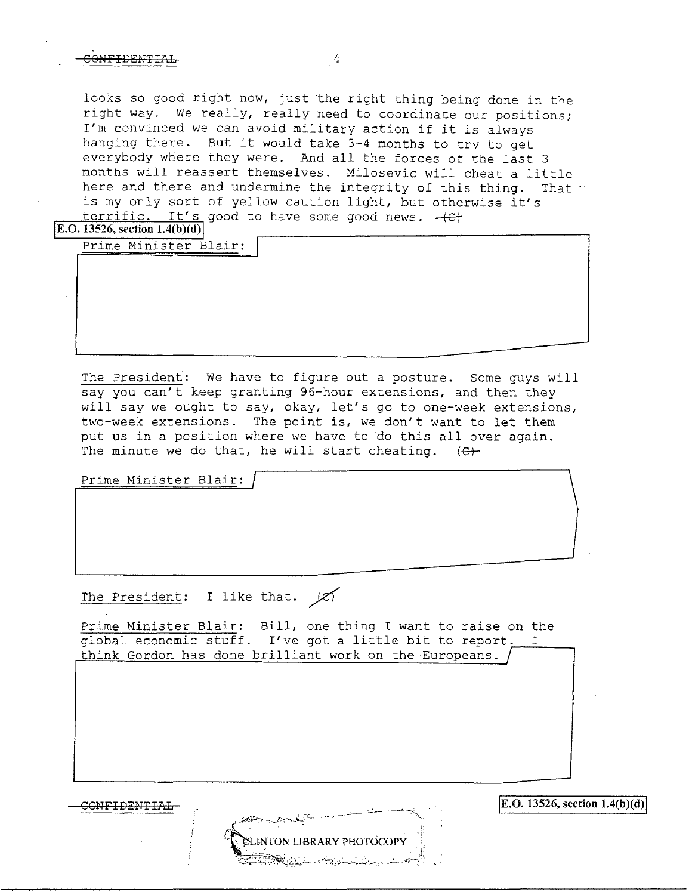## $\overline{3}$   $\overline{4}$

looks so good right now, just the right thing being done in the right way. We really, really need to coordinate our positions; I'm convinced we can avoid military action if it is always hanging there. But it would take 3-4 months to try to get everybody where they were. And all the forces of the last 3 months will reassert themselves. Milosevic will cheat a little here and there and undermine the integrity of this thing. That is my only sort of yellow caution light, but otherwise it's  $terrific.$  It's good to have some good news.  $+$  $E$ +

**IE.O. 13526, section 1.4(b)(d)** 

Prime Minister Blair:

**J** 

The President: We have to figure out a posture. Some guys will say you can't keep granting  $96$ -hour extensions, and then they will say we ought to say, okay, let's go to one-week extensions, two-week extensions. The point is, we don't want to let them put us in a position where we have to do this all over again. The minute we do that, he will start cheating.  $\langle \Theta \rangle$ 

Prime Minister Blair:

The President: I like that.  $\cancel{\varepsilon}$ 

Prime Minister Blair: Bill, one thing I want to raise on the global economic stuff. I've got a little bit to report. I think Gordon has done brilliant work on the Europeans.

**INTON LIBRARY PHOTOCOPY** 

 $\text{COMFIDENTIAL}$   $\text{E.O. 13526, section 1.4(b)(d)}$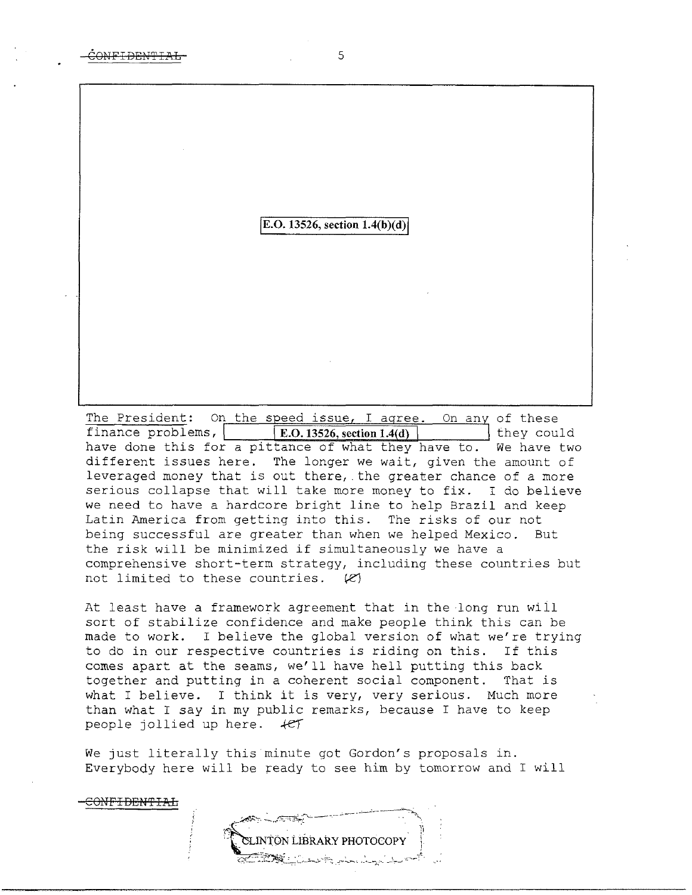<del>CONFIDENTIAL</del>

# **E.O.** 13526, section  $1.4(b)(d)$

The President: On the speed issue, I agree. On any of these finance problems, **E.O.13526, section 1.4(d)** they could have done this for a pittance of what they have to. We have two different issues here. The longer we wait, given the amount of leveraged money that is out there,.the greater chance of a more serious collapse that will take more money to fix. I do believe we need to have a hardcore bright line to help Brazil and keep Latin America from getting into this. The risks of our not being successful are greater than when we helped Mexico. But the risk will be minimized if simultaneously we have a comprehensive short-term strategy, including these countries but not limited to these countries.  $(R)$ 

At least have a framework agreement that in the long run wiil sort of stabilize confidence and make people think this can be made to work. I believe the global version of what we're trying to do in our respective countries is riding on this. If this comes apart at the seams, we'll have hell putting this back together and putting in a coherent social component. That is what I believe. I think it is very, very serious. Much more than what I say in my public remarks, because I have to keep people jollied up here.  $+e^+$ 

We just literally this minute got Gordon's proposals in. Everybody here will be ready to see him by tomorrow and I will

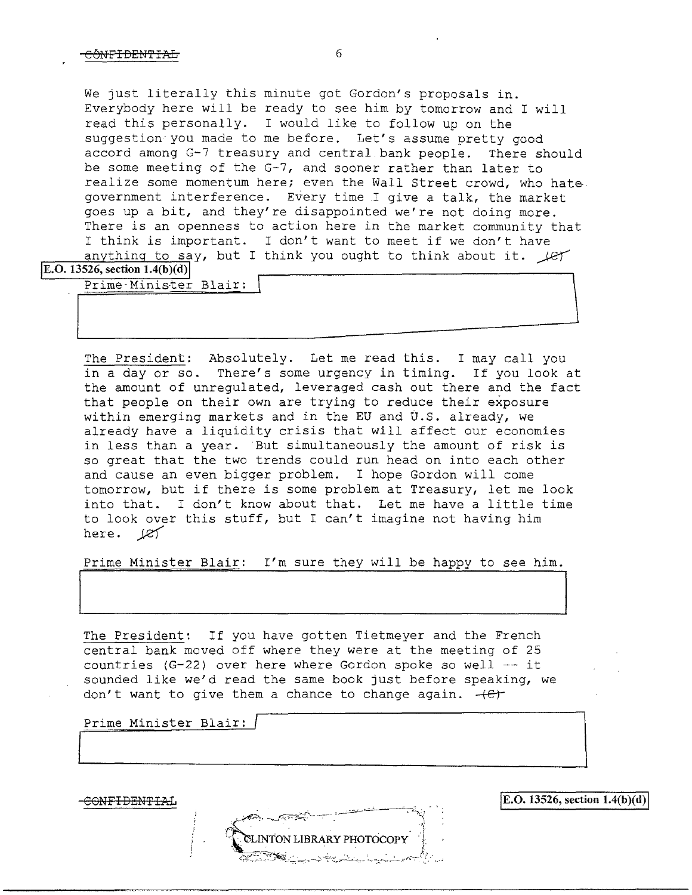We just literally this minute got Gordon's proposals in. Everybody here will be ready to see him by tomorrow and I will read this personally. I would like to follow up on the suggestion you made to me before. Let's assume pretty good accord among G-7 treasury and central bank people. There should be some meeting of the G-7, and sooner rather than later to realize some momentum here; even the Wall Street crowd, who hategovernment interference. Every time .I give a talk, the market goes up a bit, and they're disappointed we're not doing more. There is an openness to action here in the market community that I think is important. I don't want to meet if we don't have anything to say, but I think you ought to think about it.  $\text{Ler}$ 

**E.O.** 13526, section  $1.4(b)(d)$ 

Prime-Minister Blair:

The President: Absolutely. Let me read this. I may call you in a day or so. There's some urgency in timing. If you look at the amount of unregulated, leveraged cash out there and the fact that people on their own are trying to reduce their exposure within emerging markets and in the EU and U.S. already, we already have a liquidity crisis that will affect our economies in less than a year. But simultaneously the amount of risk is so great that the two trends could run head on into each other and cause an even bigger problem. I hope Gordon will come tomorrow, but if there is some problem at Treasury, let me look into that. I don't know about that. Let me have a little time to look over this stuff, but I can't imagine not having him here.  $\cancel{e}$ 

Prime Minister Blair: I'm sure they will be happy to see him.

The President: If you have gotten Tietmeyer and the French central bank moved off where they were at the meeting of 25 countries  $(G-22)$  over here where Gordon spoke so well  $--$  it sounded like we'd read the same book just before speaking, we don't want to give them a chance to change again.  $+e^+$ 

Prime Minister Blair:

INTON LIBRARY PHOTOCOPY

 $\overline{COMF1DENTHAL}$  is the section 1.4(b)(d) is the section 1.4(b)(d)

 $\overline{\phantom{a}}$